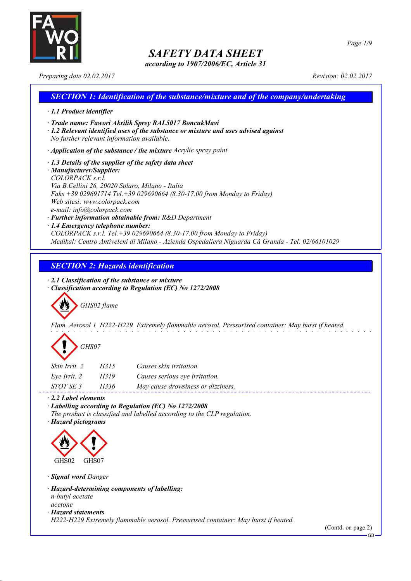

*according to 1907/2006/EC, Article 31*

*Preparing date 02.02.2017 Revision: 02.02.2017*

# *SECTION 1: Identification of the substance/mixture and of the company/undertaking · 1.1 Product identifier · Trade name: Fawori Akrilik Sprey RAL5017 BoncukMavi · 1.2 Relevant identified uses of the substance or mixture and uses advised against No further relevant information available. · Application of the substance / the mixture Acrylic spray paint · 1.3 Details of the supplier of the safety data sheet · Manufacturer/Supplier:*

*COLORPACK s.r.l. Via B.Cellini 26, 20020 Solaro, Milano - Italia Faks +39 029691714 Tel.+39 029690664 (8.30-17.00 from Monday to Friday) Web sitesi: www.colorpack.com e-mail: info@colorpack.com · Further information obtainable from: R&D Department*

*· 1.4 Emergency telephone number:*

*COLORPACK s.r.l. Tel.+39 029690664 (8.30-17.00 from Monday to Friday) Medikal: Centro Antiveleni di Milano - Azienda Ospedaliera Niguarda Cà Granda - Tel. 02/66101029*

# *SECTION 2: Hazards identification*

*· 2.1 Classification of the substance or mixture*

*· Classification according to Regulation (EC) No 1272/2008*

*GHS02 flame*

*Flam. Aerosol 1 H222-H229 Extremely flammable aerosol. Pressurised container: May burst if heated.*

| GHS07 |
|-------|
|-------|

| Skin Irrit. 2 | H315 | Causes skin irritation.           |
|---------------|------|-----------------------------------|
| Eve Irrit. 2  | H319 | Causes serious eye irritation.    |
| STOT SE 3     | H336 | May cause drowsiness or dizziness |

*· 2.2 Label elements*

*· Labelling according to Regulation (EC) No 1272/2008*

*The product is classified and labelled according to the CLP regulation.*

*· Hazard pictograms*



*· Signal word Danger*

*· Hazard-determining components of labelling: n-butyl acetate acetone*

*· Hazard statements*

*H222-H229 Extremely flammable aerosol. Pressurised container: May burst if heated.*

(Contd. on page 2)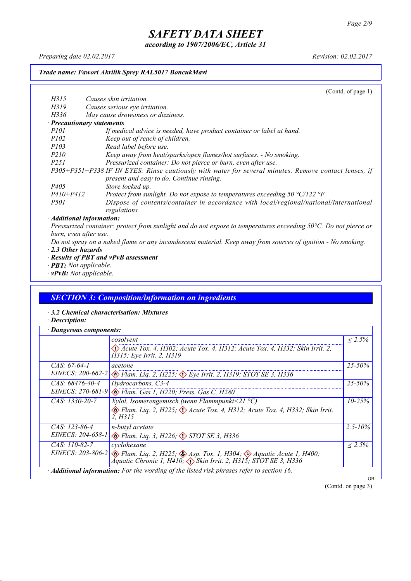*according to 1907/2006/EC, Article 31*

*Preparing date 02.02.2017 Revision: 02.02.2017*

#### *Trade name: Fawori Akrilik Sprey RAL5017 BoncukMavi*

(Contd. of page 1) *H315 Causes skin irritation. H319 Causes serious eye irritation. H336 May cause drowsiness or dizziness. · Precautionary statements P101 If medical advice is needed, have product container or label at hand. P102 Keep out of reach of children. P103 Read label before use. P210 Keep away from heat/sparks/open flames/hot surfaces. - No smoking. P251 Pressurized container: Do not pierce or burn, even after use. P305+P351+P338 IF IN EYES: Rinse cautiously with water for several minutes. Remove contact lenses, if present and easy to do. Continue rinsing. P405 Store locked up. P410+P412 Protect from sunlight. Do not expose to temperatures exceeding 50 °C/122 °F. P501 Dispose of contents/container in accordance with local/regional/national/international regulations. · Additional information:*

Pressurized container: protect from sunlight and do not expose to temperatures exceeding 50°C. Do not pierce or *burn, even after use.*

- Do not spray on a naked flame or any incandescent material. Keep away from sources of ignition No smoking. *· 2.3 Other hazards*
- *· Results of PBT and vPvB assessment*
- *· PBT: Not applicable.*
- *· vPvB: Not applicable.*

## *SECTION 3: Composition/information on ingredients*

*· 3.2 Chemical characterisation: Mixtures*

*· Description:*

| · Dangerous components:               |                                                                                                                                                                                                        |              |  |
|---------------------------------------|--------------------------------------------------------------------------------------------------------------------------------------------------------------------------------------------------------|--------------|--|
|                                       | cosolvent                                                                                                                                                                                              | $\leq 2.5\%$ |  |
|                                       | Acute Tox. 4, H302; Acute Tox. 4, H312; Acute Tox. 4, H332; Skin Irrit. 2,<br>H315; Eye Irrit. 2, H319                                                                                                 |              |  |
| $CAS. 67-64-1$                        | acetone                                                                                                                                                                                                | $25 - 50\%$  |  |
|                                       | EINECS: 200-662-2 & Flam. Liq. 2, H225; $\Diamond$ Eye Irrit. 2, H319; STOT SE 3, H336                                                                                                                 |              |  |
| Hydrocarbons, C3-4<br>CAS: 68476-40-4 |                                                                                                                                                                                                        | $25 - 50\%$  |  |
|                                       | EINECS: 270-681-9 & Flam. Gas 1, H220; Press. Gas C, H280                                                                                                                                              |              |  |
| $CAS: 1330-20-7$                      | <i>Xylol, Isomerengemisch (wenn Flammpunkt</i> <21 $^{\circ}$ C)                                                                                                                                       |              |  |
|                                       | $\otimes$ Flam. Lig. 2, H225; $\otimes$ Acute Tox. 4, H312; Acute Tox. 4, H332; Skin Irrit.<br>2. H315                                                                                                 |              |  |
| $CAS: 123-86-4$                       | n-butyl acetate                                                                                                                                                                                        | $2.5 - 10\%$ |  |
|                                       | EINECS: 204-658-1 & Flam. Liq. 3, H226; STOT SE 3, H336                                                                                                                                                |              |  |
| $CAS: 110-82-7$                       | cyclohexane                                                                                                                                                                                            | $< 2.5\%$    |  |
|                                       | EINECS: 203-806-2 $\otimes$ Flam. Liq. 2, H225; $\otimes$ Asp. Tox. 1, H304; $\otimes$ Aquatic Acute 1, H400;<br>Aquatic Chronic 1, H410; $\langle \cdot \rangle$ Skin Irrit. 2, H315; STOT SE 3, H336 |              |  |
|                                       | $\cdot$ <b>Additional information:</b> For the wording of the listed risk phrases refer to section 16.                                                                                                 |              |  |

(Contd. on page 3)

GB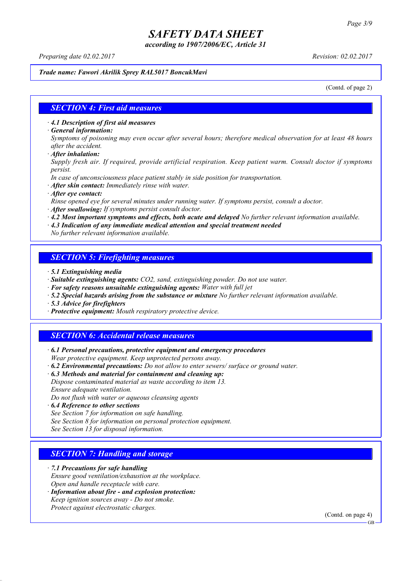*according to 1907/2006/EC, Article 31*

*Preparing date 02.02.2017 Revision: 02.02.2017*

### *Trade name: Fawori Akrilik Sprey RAL5017 BoncukMavi*

(Contd. of page 2)

### *SECTION 4: First aid measures*

*· 4.1 Description of first aid measures*

*· General information:*

Symptoms of poisoning may even occur after several hours; therefore medical observation for at least 48 hours *after the accident.*

*· After inhalation:*

*Supply fresh air. If required, provide artificial respiration. Keep patient warm. Consult doctor if symptoms persist.*

*In case of unconsciousness place patient stably in side position for transportation.*

- *· After skin contact: Immediately rinse with water.*
- *· After eye contact:*

*Rinse opened eye for several minutes under running water. If symptoms persist, consult a doctor.*

*· After swallowing: If symptoms persist consult doctor.*

*· 4.2 Most important symptoms and effects, both acute and delayed No further relevant information available.*

*· 4.3 Indication of any immediate medical attention and special treatment needed*

*No further relevant information available.*

## *SECTION 5: Firefighting measures*

- *· 5.1 Extinguishing media*
- *· Suitable extinguishing agents: CO2, sand, extinguishing powder. Do not use water.*
- *· For safety reasons unsuitable extinguishing agents: Water with full jet*
- *· 5.2 Special hazards arising from the substance or mixture No further relevant information available.*
- *· 5.3 Advice for firefighters*
- *· Protective equipment: Mouth respiratory protective device.*

### *SECTION 6: Accidental release measures*

*· 6.1 Personal precautions, protective equipment and emergency procedures Wear protective equipment. Keep unprotected persons away.*

*· 6.2 Environmental precautions: Do not allow to enter sewers/ surface or ground water.*

*· 6.3 Methods and material for containment and cleaning up:*

*Dispose contaminated material as waste according to item 13. Ensure adequate ventilation.*

*Do not flush with water or aqueous cleansing agents*

- *· 6.4 Reference to other sections*
- *See Section 7 for information on safe handling.*

*See Section 8 for information on personal protection equipment.*

*See Section 13 for disposal information.*

### *SECTION 7: Handling and storage*

*· 7.1 Precautions for safe handling*

*Ensure good ventilation/exhaustion at the workplace.*

*Open and handle receptacle with care.*

*· Information about fire - and explosion protection: Keep ignition sources away - Do not smoke.*

*Protect against electrostatic charges.*

(Contd. on page 4)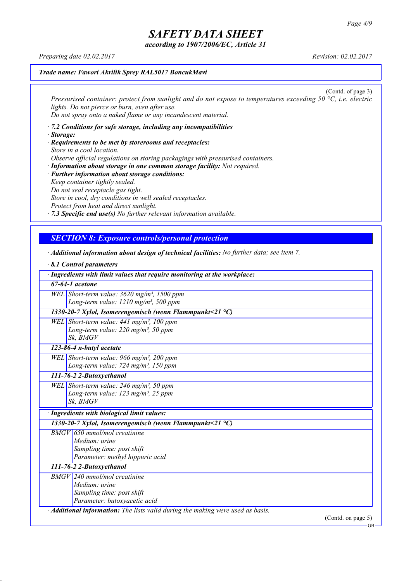*according to 1907/2006/EC, Article 31*

*Preparing date 02.02.2017 Revision: 02.02.2017*

### *Trade name: Fawori Akrilik Sprey RAL5017 BoncukMavi*

(Contd. of page 3) *Pressurised container: protect from sunlight and do not expose to temperatures exceeding 50 °C, i.e. electric lights. Do not pierce or burn, even after use. Do not spray onto a naked flame or any incandescent material.*

- *· 7.2 Conditions for safe storage, including any incompatibilities · Storage:*
- *· Requirements to be met by storerooms and receptacles: Store in a cool location. Observe official regulations on storing packagings with pressurised containers.*
- *· Information about storage in one common storage facility: Not required. · Further information about storage conditions: Keep container tightly sealed. Do not seal receptacle gas tight. Store in cool, dry conditions in well sealed receptacles. Protect from heat and direct sunlight.*

*· 7.3 Specific end use(s) No further relevant information available.*

## *SECTION 8: Exposure controls/personal protection*

*· Additional information about design of technical facilities: No further data; see item 7.*

| $\cdot$ 8.1 Control parameters                                                  |
|---------------------------------------------------------------------------------|
| · Ingredients with limit values that require monitoring at the workplace:       |
| $67-64-1$ acetone                                                               |
| WEL Short-term value: $3620$ mg/m <sup>3</sup> , 1500 ppm                       |
| Long-term value: $1210$ mg/m <sup>3</sup> , 500 ppm                             |
| 1330-20-7 Xylol, Isomerengemisch (wenn Flammpunkt<21 °C)                        |
| WEL Short-term value: 441 mg/m <sup>3</sup> , 100 ppm                           |
| Long-term value: 220 mg/m <sup>3</sup> , 50 ppm                                 |
| Sk, BMGV                                                                        |
| 123-86-4 n-butyl acetate                                                        |
| WEL Short-term value: 966 mg/m <sup>3</sup> , 200 ppm                           |
| Long-term value: 724 mg/m <sup>3</sup> , 150 ppm                                |
| 111-76-2 2-Butoxyethanol                                                        |
| WEL Short-term value: $246$ mg/m <sup>3</sup> , 50 ppm                          |
| Long-term value: $123$ mg/m <sup>3</sup> , 25 ppm                               |
| Sk. BMGV                                                                        |
| · Ingredients with biological limit values:                                     |
| 1330-20-7 Xylol, Isomerengemisch (wenn Flammpunkt<21 $^{\circ}$ C)              |
| $BMGV$ 650 mmol/mol creatinine                                                  |
| Medium: urine                                                                   |
| Sampling time: post shift                                                       |
| Parameter: methyl hippuric acid                                                 |
| 111-76-2 2-Butoxyethanol                                                        |
| $BMGV$ 240 mmol/mol creatinine                                                  |
| Medium: urine                                                                   |
| Sampling time: post shift                                                       |
| Parameter: butoxyacetic acid                                                    |
| · Additional information: The lists valid during the making were used as basis. |
| (Contd. on page $5$ )                                                           |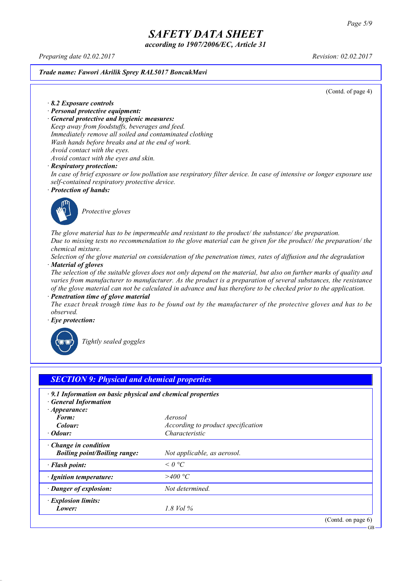*according to 1907/2006/EC, Article 31*

*Preparing date 02.02.2017 Revision: 02.02.2017*

### *Trade name: Fawori Akrilik Sprey RAL5017 BoncukMavi*

(Contd. of page 4)

*· 8.2 Exposure controls*

- *· Personal protective equipment:*
- *· General protective and hygienic measures:*

*Keep away from foodstuffs, beverages and feed. Immediately remove all soiled and contaminated clothing Wash hands before breaks and at the end of work. Avoid contact with the eyes.*

*Avoid contact with the eyes and skin.*

#### *· Respiratory protection:*

In case of brief exposure or low pollution use respiratory filter device. In case of intensive or longer exposure use *self-contained respiratory protective device.*

*· Protection of hands:*



*Protective gloves*

*The glove material has to be impermeable and resistant to the product/ the substance/ the preparation.* Due to missing tests no recommendation to the glove material can be given for the product/ the preparation/ the *chemical mixture.*

Selection of the glove material on consideration of the penetration times, rates of diffusion and the degradation *· Material of gloves*

The selection of the suitable gloves does not only depend on the material, but also on further marks of quality and *varies from manufacturer to manufacturer. As the product is a preparation of several substances, the resistance* of the glove material can not be calculated in advance and has therefore to be checked prior to the application.

*· Penetration time of glove material*

The exact break trough time has to be found out by the manufacturer of the protective gloves and has to be *observed.*

*· Eye protection:*



*Tightly sealed goggles*

| $\cdot$ 9.1 Information on basic physical and chemical properties<br><b>General Information</b> |                                           |  |
|-------------------------------------------------------------------------------------------------|-------------------------------------------|--|
| $\cdot$ Appearance:                                                                             |                                           |  |
| Form:                                                                                           | Aerosol                                   |  |
| Colour:                                                                                         | <i>According to product specification</i> |  |
| $\cdot$ Odour:                                                                                  | Characteristic                            |  |
| Change in condition<br><b>Boiling point/Boiling range:</b>                                      | Not applicable, as aerosol.               |  |
| · Flash point:                                                                                  | $\leq$ 0 °C                               |  |
| · Ignition temperature:                                                                         | >400 °C                                   |  |
| · Danger of explosion:                                                                          | Not determined.                           |  |
| · Explosion limits:                                                                             |                                           |  |
| Lower:                                                                                          | 1.8 Vol $\%$                              |  |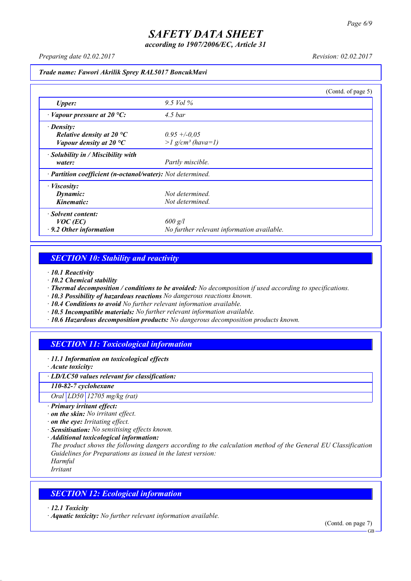*according to 1907/2006/EC, Article 31*

*Preparing date 02.02.2017 Revision: 02.02.2017*

#### *Trade name: Fawori Akrilik Sprey RAL5017 BoncukMavi*

|                                                            |                                            | (Contd. of page 5) |
|------------------------------------------------------------|--------------------------------------------|--------------------|
| <b>Upper:</b>                                              | 9.5 Vol $\%$                               |                    |
| $\cdot$ Vapour pressure at 20 °C:                          | 4.5 <sub>bar</sub>                         |                    |
| $\cdot$ Density:                                           |                                            |                    |
| Relative density at 20 $^{\circ}C$                         | $0.95 + -0.05$                             |                    |
| Vapour density at 20 $^{\circ}C$                           | $>l$ g/cm <sup>3</sup> (hava=1)            |                    |
| $\cdot$ Solubility in / Miscibility with                   |                                            |                    |
| water:                                                     | Partly miscible.                           |                    |
| · Partition coefficient (n-octanol/water): Not determined. |                                            |                    |
| $\cdot$ <i>Viscosity:</i>                                  |                                            |                    |
| Dynamic:                                                   | Not determined.                            |                    |
| Kinematic:                                                 | Not determined.                            |                    |
| Solvent content:                                           |                                            |                    |
| $VOC$ (EC)                                                 | $600$ g/l                                  |                    |
| $\cdot$ 9.2 Other information                              | No further relevant information available. |                    |

## *SECTION 10: Stability and reactivity*

*· 10.1 Reactivity*

- *· 10.2 Chemical stability*
- *· Thermal decomposition / conditions to be avoided: No decomposition if used according to specifications.*
- *· 10.3 Possibility of hazardous reactions No dangerous reactions known.*
- *· 10.4 Conditions to avoid No further relevant information available.*
- *· 10.5 Incompatible materials: No further relevant information available.*
- *· 10.6 Hazardous decomposition products: No dangerous decomposition products known.*

## *SECTION 11: Toxicological information*

*· 11.1 Information on toxicological effects*

*· Acute toxicity:*

*· LD/LC50 values relevant for classification:*

*110-82-7 cyclohexane*

*Oral LD50 12705 mg/kg (rat)*

- *· Primary irritant effect:*
- *· on the skin: No irritant effect.*
- *· on the eye: Irritating effect.*
- *· Sensitisation: No sensitising effects known.*
- *· Additional toxicological information:*

*The product shows the following dangers according to the calculation method of the General EU Classification Guidelines for Preparations as issued in the latest version:*

*Harmful Irritant*

## *SECTION 12: Ecological information*

*· 12.1 Toxicity*

*· Aquatic toxicity: No further relevant information available.*

(Contd. on page 7)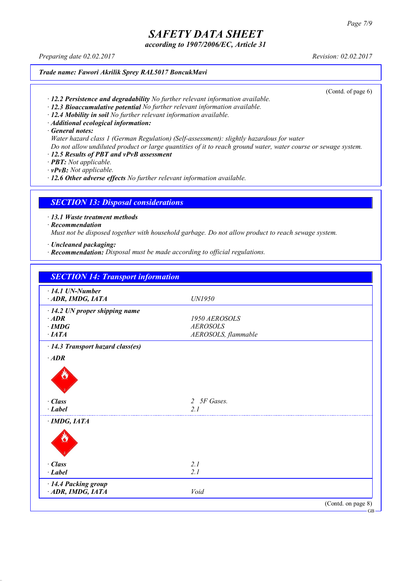*according to 1907/2006/EC, Article 31*

*Preparing date 02.02.2017 Revision: 02.02.2017*

### *Trade name: Fawori Akrilik Sprey RAL5017 BoncukMavi*

(Contd. of page 6)

- *· 12.2 Persistence and degradability No further relevant information available.*
- *· 12.3 Bioaccumulative potential No further relevant information available.*
- *· 12.4 Mobility in soil No further relevant information available.*
- *· Additional ecological information:*

*· General notes:*

- *Water hazard class 1 (German Regulation) (Self-assessment): slightly hazardous for water*
- Do not allow undiluted product or large quantities of it to reach ground water, water course or sewage system.
- *· 12.5 Results of PBT and vPvB assessment*
- *· PBT: Not applicable.*
- *· vPvB: Not applicable.*

*· 12.6 Other adverse effects No further relevant information available.*

## *SECTION 13: Disposal considerations*

*· 13.1 Waste treatment methods*

*· Recommendation*

*Must not be disposed together with household garbage. Do not allow product to reach sewage system.*

- *· Uncleaned packaging:*
- *· Recommendation: Disposal must be made according to official regulations.*

| <b>SECTION 14: Transport information</b>  |                     |                    |
|-------------------------------------------|---------------------|--------------------|
| $\cdot$ 14.1 UN-Number<br>ADR, IMDG, IATA | UN1950              |                    |
| $\cdot$ 14.2 UN proper shipping name      |                     |                    |
| $\cdot$ ADR                               | 1950 AEROSOLS       |                    |
| $\cdot$ IMDG                              | <b>AEROSOLS</b>     |                    |
| $·$ <i>IATA</i>                           | AEROSOLS, flammable |                    |
| · 14.3 Transport hazard class(es)         |                     |                    |
| $\cdot$ ADR                               |                     |                    |
|                                           |                     |                    |
| $\cdot$ Class                             | 2 5F Gases.         |                    |
| $\cdot$ Label                             | 21                  |                    |
| $\cdot$ IMDG, IATA                        |                     |                    |
|                                           |                     |                    |
| $\cdot$ Class                             | 2.1                 |                    |
| $\cdot$ Label                             | 2.1                 |                    |
| · 14.4 Packing group                      |                     |                    |
| ADR, IMDG, IATA                           | Void                |                    |
|                                           |                     | (Contd. on page 8) |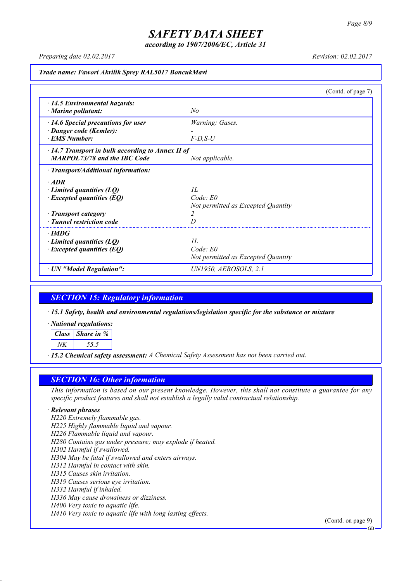*according to 1907/2006/EC, Article 31*

*Preparing date 02.02.2017 Revision: 02.02.2017*

*Trade name: Fawori Akrilik Sprey RAL5017 BoncukMavi*

|                                                         | (Contd. of page 7)                 |  |
|---------------------------------------------------------|------------------------------------|--|
| $\cdot$ 14.5 Environmental hazards:                     |                                    |  |
| $\cdot$ Marine pollutant:                               | No                                 |  |
| $\cdot$ 14.6 Special precautions for user               | Warning: Gases.                    |  |
| · Danger code (Kemler):                                 |                                    |  |
| <b>EMS Number:</b>                                      | $F-D, S-U$                         |  |
| $\cdot$ 14.7 Transport in bulk according to Annex II of |                                    |  |
| <b>MARPOL73/78 and the IBC Code</b>                     | Not applicable.                    |  |
| · Transport/Additional information:                     |                                    |  |
| $\cdot$ ADR                                             |                                    |  |
| $\cdot$ Limited quantities (LQ)                         | II.                                |  |
| $\cdot$ Excepted quantities (EQ)                        | $Code$ $E0$                        |  |
|                                                         | Not permitted as Excepted Quantity |  |
| · Transport category                                    | 2                                  |  |
| · Tunnel restriction code                               |                                    |  |
| · IMDG                                                  |                                    |  |
| $\cdot$ Limited quantities (LQ)                         | II.                                |  |
| $\cdot$ Excepted quantities (EQ)                        | $Code$ $E0$                        |  |
|                                                         | Not permitted as Excepted Quantity |  |
| · UN "Model Regulation":                                | UN1950, AEROSOLS, 2.1              |  |

## *SECTION 15: Regulatory information*

*· 15.1 Safety, health and environmental regulations/legislation specific for the substance or mixture*

*· National regulations:*

*Class Share in % NK 55.5*

*· 15.2 Chemical safety assessment: A Chemical Safety Assessment has not been carried out.*

### *SECTION 16: Other information*

This information is based on our present knowledge. However, this shall not constitute a guarantee for any *specific product features and shall not establish a legally valid contractual relationship.*

#### *· Relevant phrases*

*H220 Extremely flammable gas. H225 Highly flammable liquid and vapour. H226 Flammable liquid and vapour. H280 Contains gas under pressure; may explode if heated. H302 Harmful if swallowed. H304 May be fatal if swallowed and enters airways. H312 Harmful in contact with skin. H315 Causes skin irritation. H319 Causes serious eye irritation. H332 Harmful if inhaled. H336 May cause drowsiness or dizziness. H400 Very toxic to aquatic life. H410 Very toxic to aquatic life with long lasting effects.*

(Contd. on page 9)